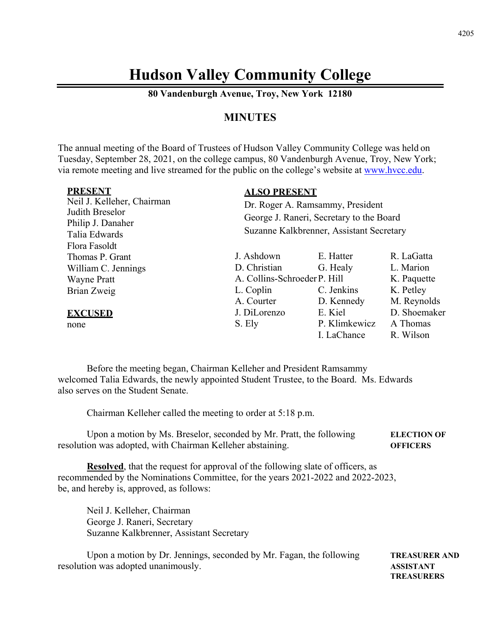## **Hudson Valley Community College**

**80 Vandenburgh Avenue, Troy, New York 12180** 

## **MINUTES**

The annual meeting of the Board of Trustees of Hudson Valley Community College was held on Tuesday, September 28, 2021, on the college campus, 80 Vandenburgh Avenue, Troy, New York; via remote meeting and live streamed for the public on the college's website at www.hvcc.edu.

| <b>PRESENT</b>                     | <b>ALSO PRESENT</b>                                                                                                      |               |              |
|------------------------------------|--------------------------------------------------------------------------------------------------------------------------|---------------|--------------|
| Neil J. Kelleher, Chairman         | Dr. Roger A. Ramsammy, President<br>George J. Raneri, Secretary to the Board<br>Suzanne Kalkbrenner, Assistant Secretary |               |              |
| Judith Breselor                    |                                                                                                                          |               |              |
| Philip J. Danaher<br>Talia Edwards |                                                                                                                          |               |              |
| Flora Fasoldt                      |                                                                                                                          |               |              |
| Thomas P. Grant                    | J. Ashdown                                                                                                               | E. Hatter     | R. LaGatta   |
| William C. Jennings                | D. Christian                                                                                                             | G. Healy      | L. Marion    |
| <b>Wayne Pratt</b>                 | A. Collins-Schroeder P. Hill                                                                                             |               | K. Paquette  |
| Brian Zweig                        | L. Coplin                                                                                                                | C. Jenkins    | K. Petley    |
|                                    | A. Courter                                                                                                               | D. Kennedy    | M. Reynolds  |
| <b>EXCUSED</b>                     | J. DiLorenzo                                                                                                             | E. Kiel       | D. Shoemaker |
| none                               | S. Ely                                                                                                                   | P. Klimkewicz | A Thomas     |
|                                    |                                                                                                                          | I. LaChance   | R. Wilson    |

 Before the meeting began, Chairman Kelleher and President Ramsammy welcomed Talia Edwards, the newly appointed Student Trustee, to the Board. Ms. Edwards also serves on the Student Senate.

Chairman Kelleher called the meeting to order at 5:18 p.m.

Upon a motion by Ms. Breselor, seconded by Mr. Pratt, the following **ELECTION OF**  resolution was adopted, with Chairman Kelleher abstaining. **OFFICERS** 

**Resolved**, that the request for approval of the following slate of officers, as recommended by the Nominations Committee, for the years 2021-2022 and 2022-2023, be, and hereby is, approved, as follows:

Neil J. Kelleher, Chairman George J. Raneri, Secretary Suzanne Kalkbrenner, Assistant Secretary

Upon a motion by Dr. Jennings, seconded by Mr. Fagan, the following **TREASURER AND** resolution was adopted unanimously. **ASSISTANT** 

 **TREASURERS**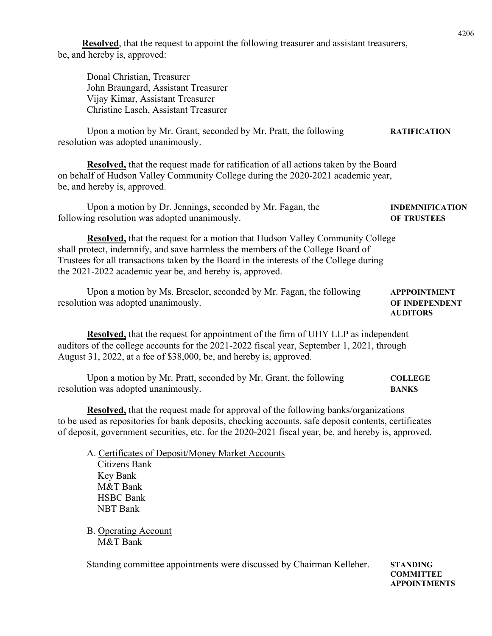**Resolved**, that the request to appoint the following treasurer and assistant treasurers, be, and hereby is, approved:

Donal Christian, Treasurer John Braungard, Assistant Treasurer Vijay Kimar, Assistant Treasurer Christine Lasch, Assistant Treasurer

Upon a motion by Mr. Grant, seconded by Mr. Pratt, the following **RATIFICATION** resolution was adopted unanimously.

**Resolved,** that the request made for ratification of all actions taken by the Board on behalf of Hudson Valley Community College during the 2020-2021 academic year, be, and hereby is, approved.

Upon a motion by Dr. Jennings, seconded by Mr. Fagan, the **INDEMNIFICATION** following resolution was adopted unanimously. **OF TRUSTEES** 

 **Resolved,** that the request for a motion that Hudson Valley Community College shall protect, indemnify, and save harmless the members of the College Board of Trustees for all transactions taken by the Board in the interests of the College during the 2021-2022 academic year be, and hereby is, approved.

Upon a motion by Ms. Breselor, seconded by Mr. Fagan, the following **APPPOINTMENT** resolution was adopted unanimously. **OF INDEPENDENT** 

**Resolved,** that the request for appointment of the firm of UHY LLP as independent auditors of the college accounts for the 2021-2022 fiscal year, September 1, 2021, through August 31, 2022, at a fee of \$38,000, be, and hereby is, approved.

Upon a motion by Mr. Pratt, seconded by Mr. Grant, the following **COLLEGE**  resolution was adopted unanimously. **BANKS** 

**Resolved,** that the request made for approval of the following banks/organizations to be used as repositories for bank deposits, checking accounts, safe deposit contents, certificates of deposit, government securities, etc. for the 2020-2021 fiscal year, be, and hereby is, approved.

 A. Certificates of Deposit/Money Market Accounts Citizens Bank Key Bank M&T Bank HSBC Bank NBT Bank

 B. Operating Account M&T Bank

Standing committee appointments were discussed by Chairman Kelleher. **STANDING** 

 **COMMITTEE APPOINTMENTS** 

## **AUDITORS**